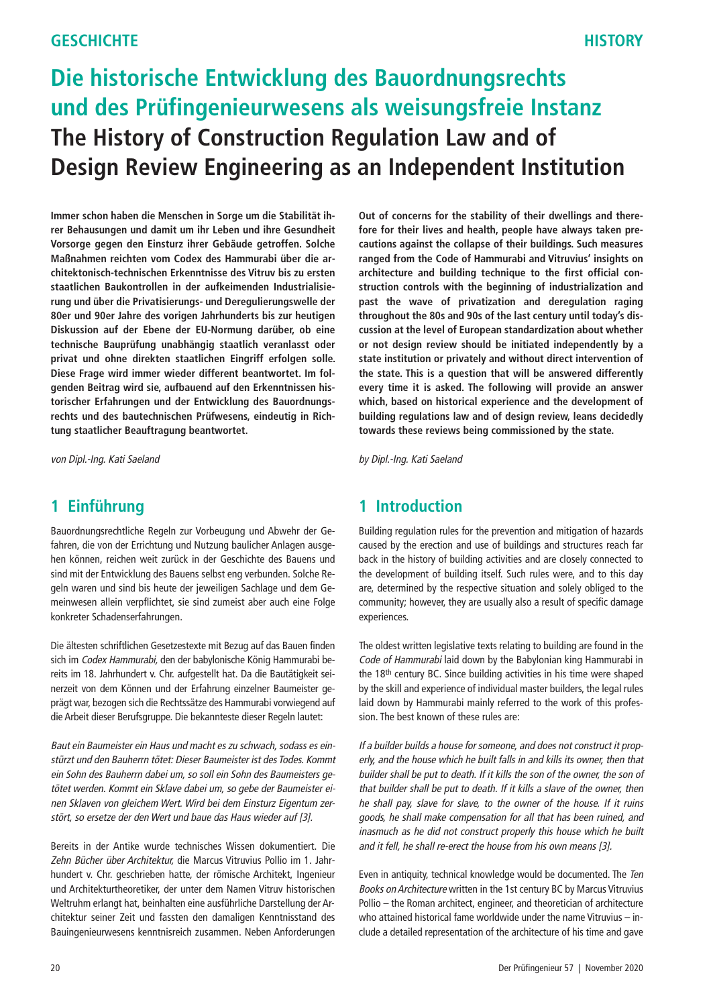# **Die historische Entwicklung des Bauordnungsrechts und des Prüfingenieurwesens als weisungsfreie Instanz The History of Construction Regulation Law and of Design Review Engineering as an Independent Institution**

**Immer schon haben die Menschen in Sorge um die Stabilität ihrer Behausungen und damit um ihr Leben und ihre Gesundheit Vorsorge gegen den Einsturz ihrer Gebäude getroffen. Solche Maßnahmen reichten vom Codex des Hammurabi über die architektonisch-technischen Erkenntnisse des Vitruv bis zu ersten staatlichen Baukontrollen in der aufkeimenden Industrialisierung und über die Privatisierungs- und Deregulierungswelle der 80er und 90er Jahre des vorigen Jahrhunderts bis zur heutigen Diskussion auf der Ebene der EU-Normung darüber, ob eine technische Bauprüfung unabhängig staatlich veranlasst oder privat und ohne direkten staatlichen Eingriff erfolgen solle. Diese Frage wird immer wieder different beantwortet. Im folgenden Beitrag wird sie, aufbauend auf den Erkenntnissen historischer Erfahrungen und der Entwicklung des Bauordnungsrechts und des bautechnischen Prüfwesens, eindeutig in Richtung staatlicher Beauftragung beantwortet.**

von Dipl.-Ing. Kati Saeland

#### **1 Einführung**

Bauordnungsrechtliche Regeln zur Vorbeugung und Abwehr der Gefahren, die von der Errichtung und Nutzung baulicher Anlagen ausgehen können, reichen weit zurück in der Geschichte des Bauens und sind mit der Entwicklung des Bauens selbst eng verbunden. Solche Regeln waren und sind bis heute der jeweiligen Sachlage und dem Gemeinwesen allein verpflichtet, sie sind zumeist aber auch eine Folge konkreter Schadenserfahrungen.

Die ältesten schriftlichen Gesetzestexte mit Bezug auf das Bauen finden sich im Codex Hammurabi, den der babylonische König Hammurabi bereits im 18. Jahrhundert v. Chr. aufgestellt hat. Da die Bautätigkeit seinerzeit von dem Können und der Erfahrung einzelner Baumeister geprägt war, bezogen sich die Rechtssätze des Hammurabi vorwiegend auf die Arbeit dieser Berufsgruppe. Die bekannteste dieser Regeln lautet:

Baut ein Baumeister ein Haus und macht es zu schwach, sodass es einstürzt und den Bauherrn tötet: Dieser Baumeister ist des Todes. Kommt ein Sohn des Bauherrn dabei um, so soll ein Sohn des Baumeisters getötet werden. Kommt ein Sklave dabei um, so gebe der Baumeister einen Sklaven von gleichem Wert. Wird bei dem Einsturz Eigentum zerstört, so ersetze der den Wert und baue das Haus wieder auf [3].

Bereits in der Antike wurde technisches Wissen dokumentiert. Die Zehn Bücher über Architektur, die Marcus Vitruvius Pollio im 1. Jahrhundert v. Chr. geschrieben hatte, der römische Architekt, Ingenieur und Architekturtheoretiker, der unter dem Namen Vitruv historischen Weltruhm erlangt hat, beinhalten eine ausführliche Darstellung der Architektur seiner Zeit und fassten den damaligen Kenntnisstand des Bauingenieurwesens kenntnisreich zusammen. Neben Anforderungen **Out of concerns for the stability of their dwellings and therefore for their lives and health, people have always taken precautions against the collapse of their buildings. Such measures ranged from the Code of Hammurabi and Vitruvius' insights on architecture and building technique to the first official construction controls with the beginning of industrialization and past the wave of privatization and deregulation raging throughout the 80s and 90s of the last century until today's discussion at the level of European standardization about whether or not design review should be initiated independently by a state institution or privately and without direct intervention of the state. This is a question that will be answered differently every time it is asked. The following will provide an answer which, based on historical experience and the development of building regulations law and of design review, leans decidedly towards these reviews being commissioned by the state.**

by Dipl.-Ing. Kati Saeland

### **1 Introduction**

Building regulation rules for the prevention and mitigation of hazards caused by the erection and use of buildings and structures reach far back in the history of building activities and are closely connected to the development of building itself. Such rules were, and to this day are, determined by the respective situation and solely obliged to the community; however, they are usually also a result of specific damage experiences.

The oldest written legislative texts relating to building are found in the Code of Hammurabi laid down by the Babylonian king Hammurabi in the 18th century BC. Since building activities in his time were shaped by the skill and experience of individual master builders, the legal rules laid down by Hammurabi mainly referred to the work of this profession. The best known of these rules are:

If a builder builds a house for someone, and does not construct it properly, and the house which he built falls in and kills its owner, then that builder shall be put to death. If it kills the son of the owner, the son of that builder shall be put to death. If it kills a slave of the owner, then he shall pay, slave for slave, to the owner of the house. If it ruins goods, he shall make compensation for all that has been ruined, and inasmuch as he did not construct properly this house which he built and it fell, he shall re-erect the house from his own means [3].

Even in antiquity, technical knowledge would be documented. The Ten Books on Architecture written in the 1st century BC by Marcus Vitruvius Pollio – the Roman architect, engineer, and theoretician of architecture who attained historical fame worldwide under the name Vitruvius – include a detailed representation of the architecture of his time and gave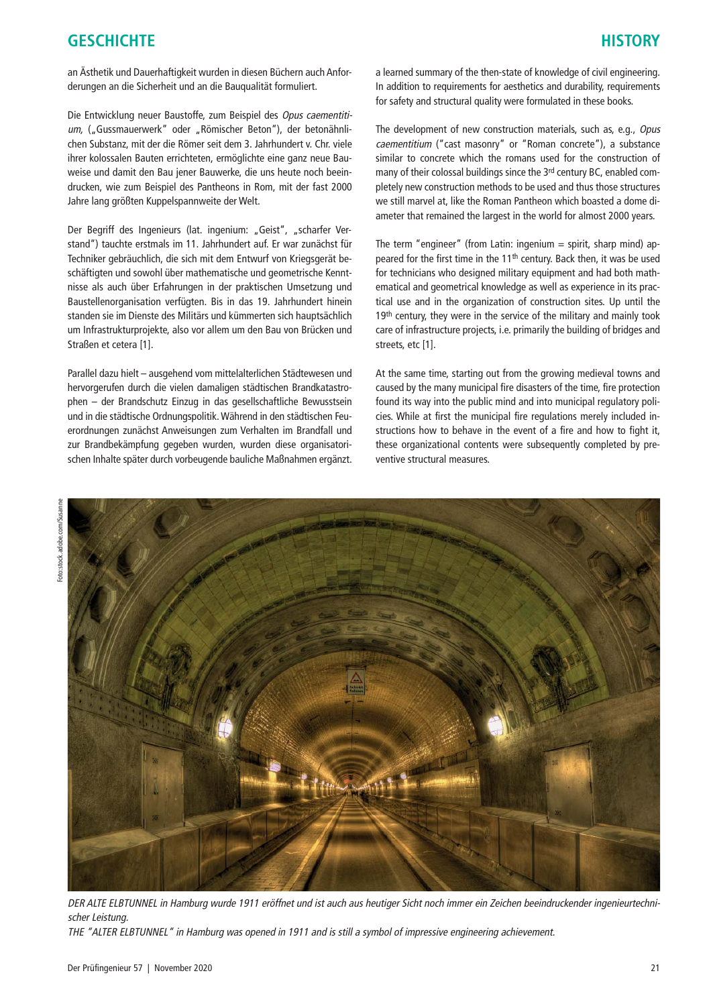an Ästhetik und Dauerhaftigkeit wurden in diesen Büchern auch Anforderungen an die Sicherheit und an die Bauqualität formuliert.

Die Entwicklung neuer Baustoffe, zum Beispiel des Opus caementitium, ("Gussmauerwerk" oder "Römischer Beton"), der betonähnlichen Substanz, mit der die Römer seit dem 3. Jahrhundert v. Chr. viele ihrer kolossalen Bauten errichteten, ermöglichte eine ganz neue Bauweise und damit den Bau jener Bauwerke, die uns heute noch beeindrucken, wie zum Beispiel des Pantheons in Rom, mit der fast 2000 Jahre lang größten Kuppelspannweite der Welt.

Der Begriff des Ingenieurs (lat. ingenium: "Geist", "scharfer Verstand") tauchte erstmals im 11. Jahrhundert auf. Er war zunächst für Techniker gebräuchlich, die sich mit dem Entwurf von Kriegsgerät beschäftigten und sowohl über mathematische und geometrische Kenntnisse als auch über Erfahrungen in der praktischen Umsetzung und Baustellenorganisation verfügten. Bis in das 19. Jahrhundert hinein standen sie im Dienste des Militärs und kümmerten sich hauptsächlich um Infrastrukturprojekte, also vor allem um den Bau von Brücken und Straßen et cetera [1].

Parallel dazu hielt – ausgehend vom mittelalterlichen Städtewesen und hervorgerufen durch die vielen damaligen städtischen Brandkatastrophen – der Brandschutz Einzug in das gesellschaftliche Bewusstsein und in die städtische Ordnungspolitik. Während in den städtischen Feuerordnungen zunächst Anweisungen zum Verhalten im Brandfall und zur Brandbekämpfung gegeben wurden, wurden diese organisatorischen Inhalte später durch vorbeugende bauliche Maßnahmen ergänzt.

a learned summary of the then-state of knowledge of civil engineering. In addition to requirements for aesthetics and durability, requirements for safety and structural quality were formulated in these books.

The development of new construction materials, such as, e.g., Opus caementitium ("cast masonry" or "Roman concrete"), a substance similar to concrete which the romans used for the construction of many of their colossal buildings since the 3<sup>rd</sup> century BC, enabled completely new construction methods to be used and thus those structures we still marvel at, like the Roman Pantheon which boasted a dome diameter that remained the largest in the world for almost 2000 years.

The term "engineer" (from Latin: ingenium  $=$  spirit, sharp mind) appeared for the first time in the 11<sup>th</sup> century. Back then, it was be used for technicians who designed military equipment and had both mathematical and geometrical knowledge as well as experience in its practical use and in the organization of construction sites. Up until the 19<sup>th</sup> century, they were in the service of the military and mainly took care of infrastructure projects, i.e. primarily the building of bridges and streets, etc [1].

At the same time, starting out from the growing medieval towns and caused by the many municipal fire disasters of the time, fire protection found its way into the public mind and into municipal regulatory policies. While at first the municipal fire regulations merely included instructions how to behave in the event of a fire and how to fight it, these organizational contents were subsequently completed by preventive structural measures.



DER ALTE ELBTUNNEL in Hamburg wurde 1911 eröffnet und ist auch aus heutiger Sicht noch immer ein Zeichen beeindruckender ingenieurtechnischer Leistung. THE "ALTER ELBTUNNEL" in Hamburg was opened in 1911 and is still a symbol of impressive engineering achievement.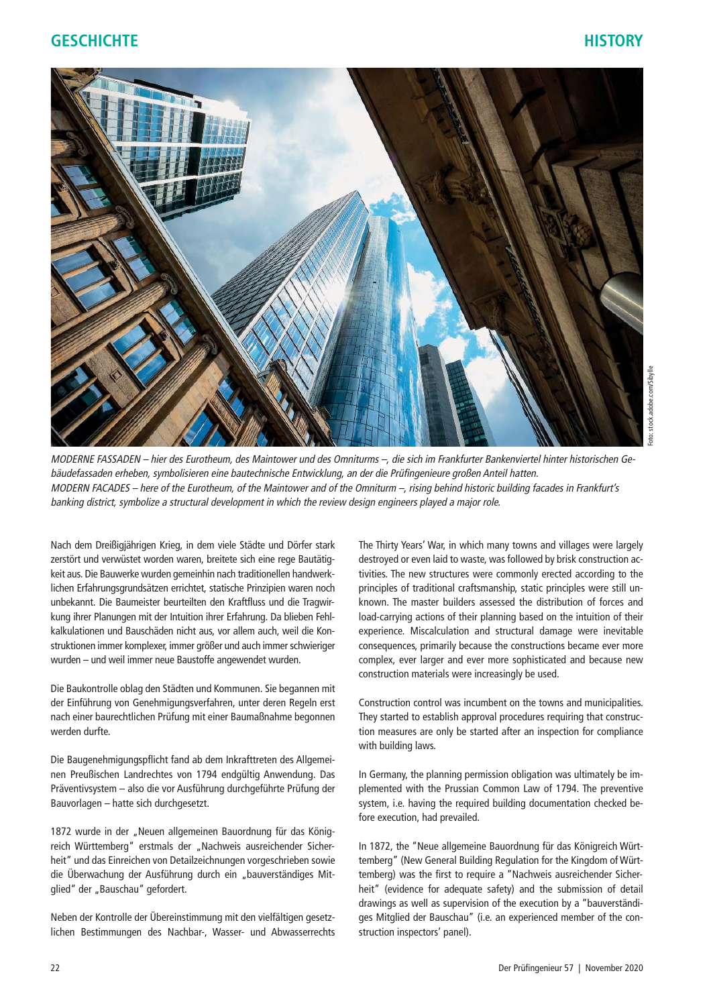

MODERNE FASSADEN – hier des Eurotheum, des Maintower und des Omniturms –, die sich im Frankfurter Bankenviertel hinter historischen Gebäudefassaden erheben, symbolisieren eine bautechnische Entwicklung, an der die Prüfingenieure großen Anteil hatten. MODERN FACADES – here of the Eurotheum, of the Maintower and of the Omniturm –, rising behind historic building facades in Frankfurt's banking district, symbolize a structural development in which the review design engineers played a major role.

Nach dem Dreißigjährigen Krieg, in dem viele Städte und Dörfer stark zerstört und verwüstet worden waren, breitete sich eine rege Bautätigkeit aus. Die Bauwerke wurden gemeinhin nach traditionellen handwerklichen Erfahrungsgrundsätzen errichtet, statische Prinzipien waren noch unbekannt. Die Baumeister beurteilten den Kraftfluss und die Tragwirkung ihrer Planungen mit der Intuition ihrer Erfahrung. Da blieben Fehlkalkulationen und Bauschäden nicht aus, vor allem auch, weil die Konstruktionen immer komplexer, immer größer und auch immer schwieriger wurden – und weil immer neue Baustoffe angewendet wurden.

Die Baukontrolle oblag den Städten und Kommunen. Sie begannen mit der Einführung von Genehmigungsverfahren, unter deren Regeln erst nach einer baurechtlichen Prüfung mit einer Baumaßnahme begonnen werden durfte.

Die Baugenehmigungspflicht fand ab dem Inkrafttreten des Allgemeinen Preußischen Landrechtes von 1794 endgültig Anwendung. Das Präventivsystem – also die vor Ausführung durchgeführte Prüfung der Bauvorlagen – hatte sich durchgesetzt.

1872 wurde in der "Neuen allgemeinen Bauordnung für das Königreich Württemberg" erstmals der "Nachweis ausreichender Sicherheit" und das Einreichen von Detailzeichnungen vorgeschrieben sowie die Überwachung der Ausführung durch ein "bauverständiges Mitglied" der "Bauschau" gefordert.

Neben der Kontrolle der Übereinstimmung mit den vielfältigen gesetzlichen Bestimmungen des Nachbar-, Wasser- und Abwasserrechts The Thirty Years' War, in which many towns and villages were largely destroyed or even laid to waste, was followed by brisk construction activities. The new structures were commonly erected according to the principles of traditional craftsmanship, static principles were still unknown. The master builders assessed the distribution of forces and load-carrying actions of their planning based on the intuition of their experience. Miscalculation and structural damage were inevitable consequences, primarily because the constructions became ever more complex, ever larger and ever more sophisticated and because new construction materials were increasingly be used.

Construction control was incumbent on the towns and municipalities. They started to establish approval procedures requiring that construction measures are only be started after an inspection for compliance with building laws.

In Germany, the planning permission obligation was ultimately be implemented with the Prussian Common Law of 1794. The preventive system, i.e. having the required building documentation checked before execution, had prevailed.

In 1872, the "Neue allgemeine Bauordnung für das Königreich Württemberg" (New General Building Regulation for the Kingdom of Württemberg) was the first to require a "Nachweis ausreichender Sicherheit" (evidence for adequate safety) and the submission of detail drawings as well as supervision of the execution by a "bauverständiges Mitglied der Bauschau" (i.e. an experienced member of the construction inspectors' panel).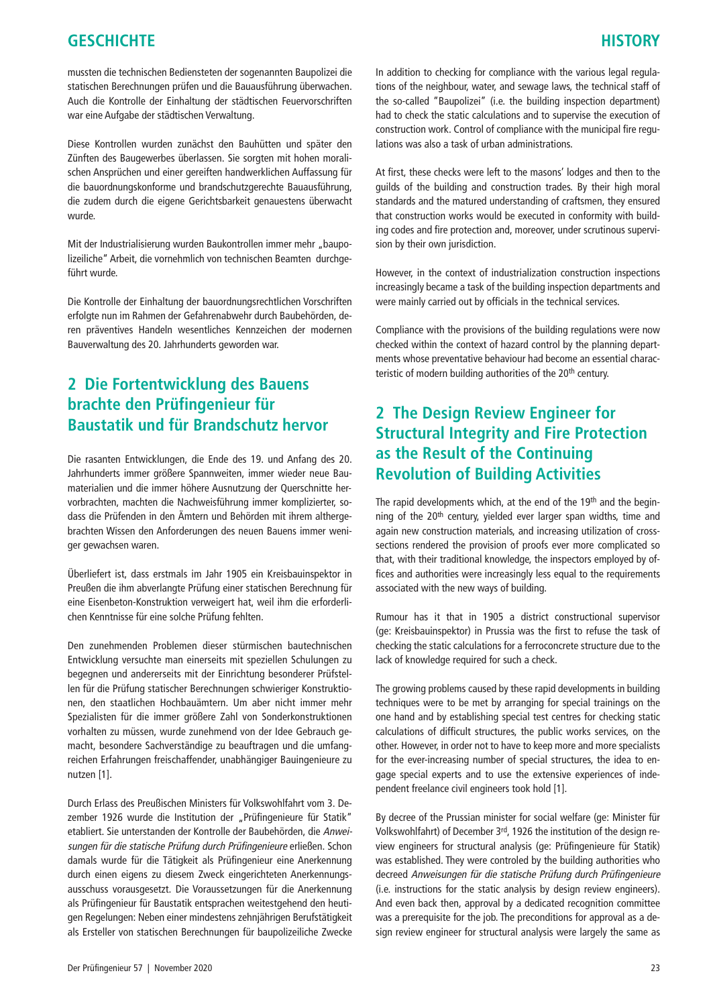mussten die technischen Bediensteten der sogenannten Baupolizei die statischen Berechnungen prüfen und die Bauausführung überwachen. Auch die Kontrolle der Einhaltung der städtischen Feuervorschriften war eine Aufgabe der städtischen Verwaltung.

Diese Kontrollen wurden zunächst den Bauhütten und später den Zünften des Baugewerbes überlassen. Sie sorgten mit hohen moralischen Ansprüchen und einer gereiften handwerklichen Auffassung für die bauordnungskonforme und brandschutzgerechte Bauausführung, die zudem durch die eigene Gerichtsbarkeit genauestens überwacht wurde.

Mit der Industrialisierung wurden Baukontrollen immer mehr "baupolizeiliche" Arbeit, die vornehmlich von technischen Beamten durchgeführt wurde.

Die Kontrolle der Einhaltung der bauordnungsrechtlichen Vorschriften erfolgte nun im Rahmen der Gefahrenabwehr durch Baubehörden, deren präventives Handeln wesentliches Kennzeichen der modernen Bauverwaltung des 20. Jahrhunderts geworden war.

# **2 Die Fortentwicklung des Bauens brachte den Prüfingenieur für Baustatik und für Brandschutz hervor**

Die rasanten Entwicklungen, die Ende des 19. und Anfang des 20. Jahrhunderts immer größere Spannweiten, immer wieder neue Baumaterialien und die immer höhere Ausnutzung der Querschnitte hervorbrachten, machten die Nachweisführung immer komplizierter, sodass die Prüfenden in den Ämtern und Behörden mit ihrem althergebrachten Wissen den Anforderungen des neuen Bauens immer weniger gewachsen waren.

Überliefert ist, dass erstmals im Jahr 1905 ein Kreisbauinspektor in Preußen die ihm abverlangte Prüfung einer statischen Berechnung für eine Eisenbeton-Konstruktion verweigert hat, weil ihm die erforderlichen Kenntnisse für eine solche Prüfung fehlten.

Den zunehmenden Problemen dieser stürmischen bautechnischen Entwicklung versuchte man einerseits mit speziellen Schulungen zu begegnen und andererseits mit der Einrichtung besonderer Prüfstellen für die Prüfung statischer Berechnungen schwieriger Konstruktionen, den staatlichen Hochbauämtern. Um aber nicht immer mehr Spezialisten für die immer größere Zahl von Sonderkonstruktionen vorhalten zu müssen, wurde zunehmend von der Idee Gebrauch gemacht, besondere Sachverständige zu beauftragen und die umfangreichen Erfahrungen freischaffender, unabhängiger Bauingenieure zu nutzen [1].

Durch Erlass des Preußischen Ministers für Volkswohlfahrt vom 3. Dezember 1926 wurde die Institution der "Prüfingenieure für Statik" etabliert. Sie unterstanden der Kontrolle der Baubehörden, die Anweisungen für die statische Prüfung durch Prüfingenieure erließen. Schon damals wurde für die Tätigkeit als Prüfingenieur eine Anerkennung durch einen eigens zu diesem Zweck eingerichteten Anerkennungsausschuss vorausgesetzt. Die Voraussetzungen für die Anerkennung als Prüfingenieur für Baustatik entsprachen weitestgehend den heutigen Regelungen: Neben einer mindestens zehnjährigen Berufstätigkeit als Ersteller von statischen Berechnungen für baupolizeiliche Zwecke

In addition to checking for compliance with the various legal regulations of the neighbour, water, and sewage laws, the technical staff of the so-called "Baupolizei" (i.e. the building inspection department) had to check the static calculations and to supervise the execution of construction work. Control of compliance with the municipal fire regulations was also a task of urban administrations.

At first, these checks were left to the masons' lodges and then to the guilds of the building and construction trades. By their high moral standards and the matured understanding of craftsmen, they ensured that construction works would be executed in conformity with building codes and fire protection and, moreover, under scrutinous supervision by their own jurisdiction.

However, in the context of industrialization construction inspections increasingly became a task of the building inspection departments and were mainly carried out by officials in the technical services.

Compliance with the provisions of the building regulations were now checked within the context of hazard control by the planning departments whose preventative behaviour had become an essential characteristic of modern building authorities of the 20<sup>th</sup> century.

# **2 The Design Review Engineer for Structural Integrity and Fire Protection as the Result of the Continuing Revolution of Building Activities**

The rapid developments which, at the end of the 19<sup>th</sup> and the beginning of the 20th century, yielded ever larger span widths, time and again new construction materials, and increasing utilization of crosssections rendered the provision of proofs ever more complicated so that, with their traditional knowledge, the inspectors employed by offices and authorities were increasingly less equal to the requirements associated with the new ways of building.

Rumour has it that in 1905 a district constructional supervisor (ge: Kreisbauinspektor) in Prussia was the first to refuse the task of checking the static calculations for a ferroconcrete structure due to the lack of knowledge required for such a check.

The growing problems caused by these rapid developments in building techniques were to be met by arranging for special trainings on the one hand and by establishing special test centres for checking static calculations of difficult structures, the public works services, on the other. However, in order not to have to keep more and more specialists for the ever-increasing number of special structures, the idea to engage special experts and to use the extensive experiences of independent freelance civil engineers took hold [1].

By decree of the Prussian minister for social welfare (ge: Minister für Volkswohlfahrt) of December 3rd, 1926 the institution of the design review engineers for structural analysis (ge: Prüfingenieure für Statik) was established. They were controled by the building authorities who decreed Anweisungen für die statische Prüfung durch Prüfingenieure (i.e. instructions for the static analysis by design review engineers). And even back then, approval by a dedicated recognition committee was a prerequisite for the job. The preconditions for approval as a design review engineer for structural analysis were largely the same as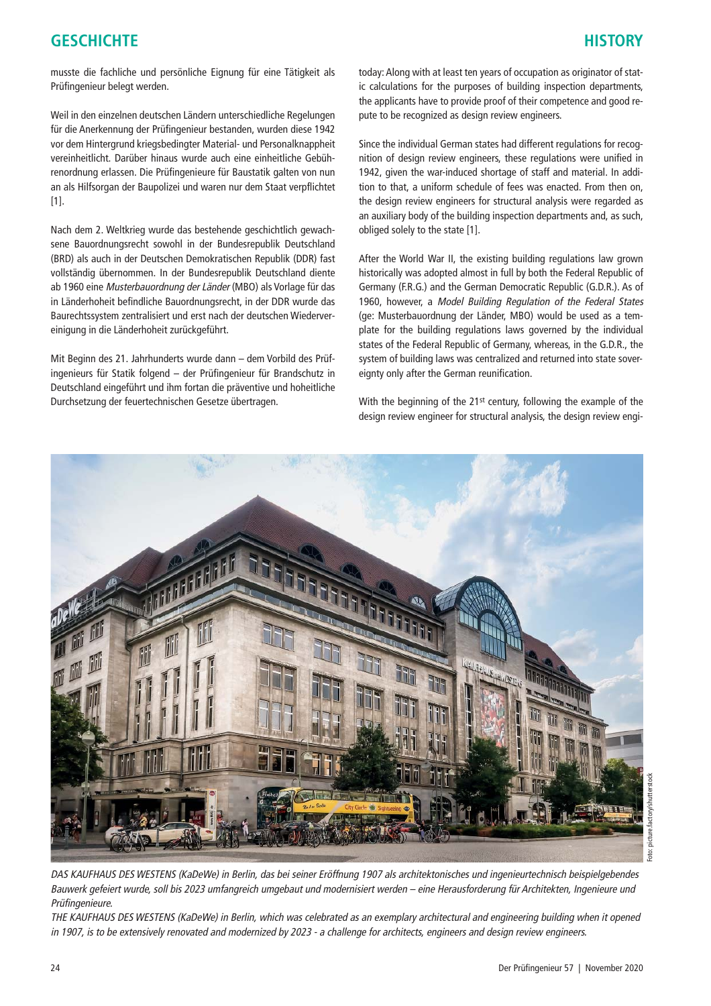musste die fachliche und persönliche Eignung für eine Tätigkeit als Prüfingenieur belegt werden.

Weil in den einzelnen deutschen Ländern unterschiedliche Regelungen für die Anerkennung der Prüfingenieur bestanden, wurden diese 1942 vor dem Hintergrund kriegsbedingter Material- und Personalknappheit vereinheitlicht. Darüber hinaus wurde auch eine einheitliche Gebührenordnung erlassen. Die Prüfingenieure für Baustatik galten von nun an als Hilfsorgan der Baupolizei und waren nur dem Staat verpflichtet [1].

Nach dem 2. Weltkrieg wurde das bestehende geschichtlich gewachsene Bauordnungsrecht sowohl in der Bundesrepublik Deutschland (BRD) als auch in der Deutschen Demokratischen Republik (DDR) fast vollständig übernommen. In der Bundesrepublik Deutschland diente ab 1960 eine Musterbauordnung der Länder (MBO) als Vorlage für das in Länderhoheit befindliche Bauordnungsrecht, in der DDR wurde das Baurechtssystem zentralisiert und erst nach der deutschen Wiedervereinigung in die Länderhoheit zurückgeführt.

Mit Beginn des 21. Jahrhunderts wurde dann – dem Vorbild des Prüfingenieurs für Statik folgend – der Prüfingenieur für Brandschutz in Deutschland eingeführt und ihm fortan die präventive und hoheitliche Durchsetzung der feuertechnischen Gesetze übertragen.

today: Along with at least ten years of occupation as originator of static calculations for the purposes of building inspection departments, the applicants have to provide proof of their competence and good repute to be recognized as design review engineers.

Since the individual German states had different regulations for recognition of design review engineers, these regulations were unified in 1942, given the war-induced shortage of staff and material. In addition to that, a uniform schedule of fees was enacted. From then on, the design review engineers for structural analysis were regarded as an auxiliary body of the building inspection departments and, as such, obliged solely to the state [1].

After the World War II, the existing building regulations law grown historically was adopted almost in full by both the Federal Republic of Germany (F.R.G.) and the German Democratic Republic (G.D.R.). As of 1960, however, a Model Building Regulation of the Federal States (ge: Musterbauordnung der Länder, MBO) would be used as a template for the building regulations laws governed by the individual states of the Federal Republic of Germany, whereas, in the G.D.R., the system of building laws was centralized and returned into state sovereignty only after the German reunification.

With the beginning of the 21<sup>st</sup> century, following the example of the design review engineer for structural analysis, the design review engi-



DAS KAUFHAUS DES WESTENS (KaDeWe) in Berlin, das bei seiner Eröffnung 1907 als architektonisches und ingenieurtechnisch beispielgebendes Bauwerk gefeiert wurde, soll bis 2023 umfangreich umgebaut und modernisiert werden – eine Herausforderung für Architekten, Ingenieure und Prüfingenieure.

THE KAUFHAUS DES WESTENS (KaDeWe) in Berlin, which was celebrated as an exemplary architectural and engineering building when it opened in 1907, is to be extensively renovated and modernized by 2023 - a challenge for architects, engineers and design review engineers.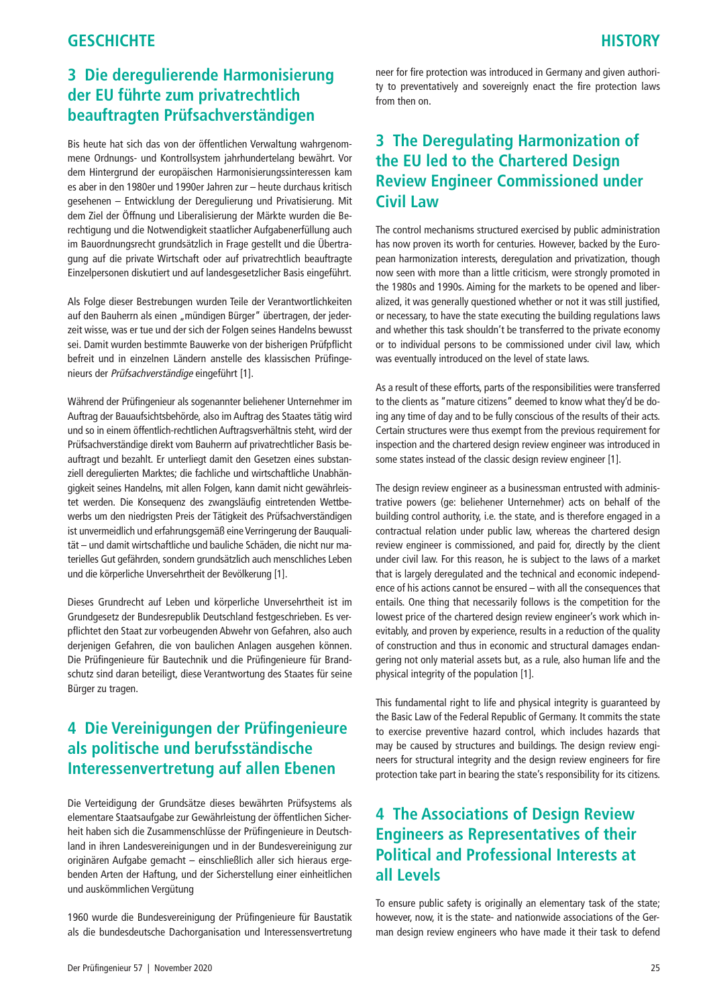# **3 Die deregulierende Harmonisierung der EU führte zum privatrechtlich beauftragten Prüfsachverständigen**

Bis heute hat sich das von der öffentlichen Verwaltung wahrgenommene Ordnungs- und Kontrollsystem jahrhundertelang bewährt. Vor dem Hintergrund der europäischen Harmonisierungssinteressen kam es aber in den 1980er und 1990er Jahren zur – heute durchaus kritisch gesehenen – Entwicklung der Deregulierung und Privatisierung. Mit dem Ziel der Öffnung und Liberalisierung der Märkte wurden die Berechtigung und die Notwendigkeit staatlicher Aufgabenerfüllung auch im Bauordnungsrecht grundsätzlich in Frage gestellt und die Übertragung auf die private Wirtschaft oder auf privatrechtlich beauftragte Einzelpersonen diskutiert und auf landesgesetzlicher Basis eingeführt.

Als Folge dieser Bestrebungen wurden Teile der Verantwortlichkeiten auf den Bauherrn als einen "mündigen Bürger" übertragen, der jederzeit wisse, was er tue und der sich der Folgen seines Handelns bewusst sei. Damit wurden bestimmte Bauwerke von der bisherigen Prüfpflicht befreit und in einzelnen Ländern anstelle des klassischen Prüfingenieurs der Prüfsachverständige eingeführt [1].

Während der Prüfingenieur als sogenannter beliehener Unternehmer im Auftrag der Bauaufsichtsbehörde, also im Auftrag des Staates tätig wird und so in einem öffentlich-rechtlichen Auftragsverhältnis steht, wird der Prüfsachverständige direkt vom Bauherrn auf privatrechtlicher Basis beauftragt und bezahlt. Er unterliegt damit den Gesetzen eines substanziell deregulierten Marktes; die fachliche und wirtschaftliche Unabhängigkeit seines Handelns, mit allen Folgen, kann damit nicht gewährleistet werden. Die Konsequenz des zwangsläufig eintretenden Wettbewerbs um den niedrigsten Preis der Tätigkeit des Prüfsachverständigen ist unvermeidlich und erfahrungsgemäß eine Verringerung der Bauqualität – und damit wirtschaftliche und bauliche Schäden, die nicht nur materielles Gut gefährden, sondern grundsätzlich auch menschliches Leben und die körperliche Unversehrtheit der Bevölkerung [1].

Dieses Grundrecht auf Leben und körperliche Unversehrtheit ist im Grundgesetz der Bundesrepublik Deutschland festgeschrieben. Es verpflichtet den Staat zur vorbeugenden Abwehr von Gefahren, also auch derjenigen Gefahren, die von baulichen Anlagen ausgehen können. Die Prüfingenieure für Bautechnik und die Prüfingenieure für Brandschutz sind daran beteiligt, diese Verantwortung des Staates für seine Bürger zu tragen.

# **4 Die Vereinigungen der Prüfingenieure als politische und berufsständische Interessenvertretung auf allen Ebenen**

Die Verteidigung der Grundsätze dieses bewährten Prüfsystems als elementare Staatsaufgabe zur Gewährleistung der öffentlichen Sicherheit haben sich die Zusammenschlüsse der Prüfingenieure in Deutschland in ihren Landesvereinigungen und in der Bundesvereinigung zur originären Aufgabe gemacht – einschließlich aller sich hieraus ergebenden Arten der Haftung, und der Sicherstellung einer einheitlichen und auskömmlichen Vergütung

1960 wurde die Bundesvereinigung der Prüfingenieure für Baustatik als die bundesdeutsche Dachorganisation und Interessensvertretung neer for fire protection was introduced in Germany and given authority to preventatively and sovereignly enact the fire protection laws from then on.

# **3 The Deregulating Harmonization of the EU led to the Chartered Design Review Engineer Commissioned under Civil Law**

The control mechanisms structured exercised by public administration has now proven its worth for centuries. However, backed by the European harmonization interests, deregulation and privatization, though now seen with more than a little criticism, were strongly promoted in the 1980s and 1990s. Aiming for the markets to be opened and liberalized, it was generally questioned whether or not it was still justified, or necessary, to have the state executing the building regulations laws and whether this task shouldn't be transferred to the private economy or to individual persons to be commissioned under civil law, which was eventually introduced on the level of state laws.

As a result of these efforts, parts of the responsibilities were transferred to the clients as "mature citizens" deemed to know what they'd be doing any time of day and to be fully conscious of the results of their acts. Certain structures were thus exempt from the previous requirement for inspection and the chartered design review engineer was introduced in some states instead of the classic design review engineer [1].

The design review engineer as a businessman entrusted with administrative powers (ge: beliehener Unternehmer) acts on behalf of the building control authority, i.e. the state, and is therefore engaged in a contractual relation under public law, whereas the chartered design review engineer is commissioned, and paid for, directly by the client under civil law. For this reason, he is subject to the laws of a market that is largely deregulated and the technical and economic independence of his actions cannot be ensured – with all the consequences that entails. One thing that necessarily follows is the competition for the lowest price of the chartered design review engineer's work which inevitably, and proven by experience, results in a reduction of the quality of construction and thus in economic and structural damages endangering not only material assets but, as a rule, also human life and the physical integrity of the population [1].

This fundamental right to life and physical integrity is guaranteed by the Basic Law of the Federal Republic of Germany. It commits the state to exercise preventive hazard control, which includes hazards that may be caused by structures and buildings. The design review engineers for structural integrity and the design review engineers for fire protection take part in bearing the state's responsibility for its citizens.

# **4 The Associations of Design Review Engineers as Representatives of their Political and Professional Interests at all Levels**

To ensure public safety is originally an elementary task of the state; however, now, it is the state- and nationwide associations of the German design review engineers who have made it their task to defend